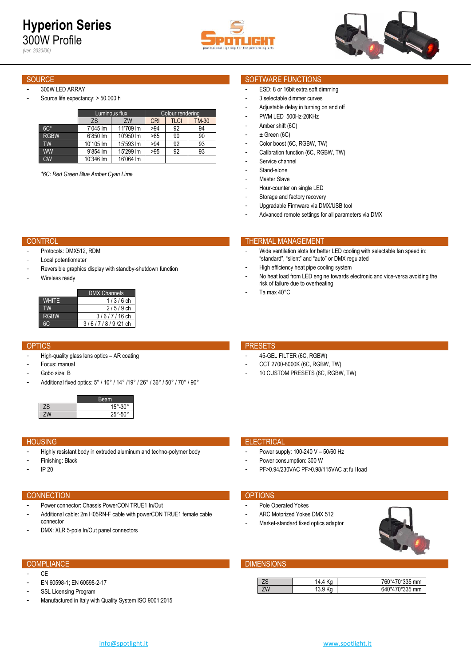*(ver. 2020/06)*





## 300W LED ARRAY

Source life expectancy: > 50.000 h

|             |           | Luminous flux | Colour rendering |      |       |  |  |  |
|-------------|-----------|---------------|------------------|------|-------|--|--|--|
|             | ZS        | ZW            | <b>CRI</b>       | TLCI | TM-30 |  |  |  |
| $6C*$       | 7'045 lm  | 11'709 lm     | >94              | 92   | 94    |  |  |  |
| <b>RGBW</b> | 6'850 lm  | 10'950 lm     | >85              | 90   | 90    |  |  |  |
| TW          | 10'105 lm | 15'593 lm     | >94              | 92   | 93    |  |  |  |
| <b>WW</b>   | 9'854 lm  | 15'299 lm     | >95              | 92   | 93    |  |  |  |
| <b>CW</b>   | 10'346 lm | 16'064 lm     |                  |      |       |  |  |  |

*\*6C: Red Green Blue Amber Cyan Lime* 

# SOURCE SOURCE SOURCE SOURCE SOURCE SOURCE SOURCE SOURCE SOURCE SOURCE SOURCE SOURCE SOURCE SOURCE SOURCE SOURCE

- ESD: 8 or 16bit extra soft dimming
- 3 selectable dimmer curves
- Adjustable delay in turning on and off
- PWM LED 500Hz-20KHz
- Amber shift (6C)
- $\pm$  Green (6C)
- Color boost (6C, RGBW, TW)
- Calibration function (6C, RGBW, TW)
- Service channel
- Stand-alone
- Master Slave
- Hour-counter on single LED
- Storage and factory recovery
- Upgradable Firmware via DMX/USB tool

risk of failure due to overheating

Advanced remote settings for all parameters via DMX

"standard", "silent" and "auto" or DMX regulated High efficiency heat pipe cooling system

Wide ventilation slots for better LED cooling with selectable fan speed in:

No heat load from LED engine towards electronic and vice-versa avoiding the

# CONTROL THERMAL MANAGEMENT

- Protocols: DMX512, RDM
- Local potentiometer
- Reversible graphics display with standby-shutdown function
- Wireless ready

|             | <b>DMX Channels</b> |
|-------------|---------------------|
| WHITF       | $1/3/6$ ch          |
| TW          | $2/5/9$ ch          |
| <b>RGBW</b> | $3/6/7/16$ ch       |
|             | $3/6/7/8/9/21$ ch   |

- High-quality glass lens optics AR coating
- Focus: manual
- Gobo size: B
- Additional fixed optics: 5° / 10° / 14° /19° / 26° / 36° / 50° / 70° / 90°

|    | leam                     |
|----|--------------------------|
| ZS | $-30^\circ$<br>15        |
|    | <b>ENº</b><br><b>OLO</b> |

- Highly resistant body in extruded aluminum and techno-polymer body
- Finishing: Black
- IP 20

# CONNECTION **CONNECTION**

- Power connector: Chassis PowerCON TRUE1 In/Out
- Additional cable: 2m H05RN-F cable with powerCON TRUE1 female cable connector
- DMX: XLR 5-pole In/Out panel connectors

- CE
- EN 60598-1; EN 60598-2-17
- SSL Licensing Program
- Manufactured in Italy with Quality System ISO 9001:2015

# OPTICS **PRESETS**

- 45-GEL FILTER (6C, RGBW)
- CCT 2700-8000K (6C, RGBW, TW)
- 10 CUSTOM PRESETS (6C, RGBW, TW)

## **HOUSING ELECTRICAL CONTROL**

- Power supply: 100-240 V 50/60 Hz
- Power consumption: 300 W
- PF>0.94/230VAC PF>0.98/115VAC at full load

- Pole Operated Yokes
- ARC Motorized Yokes DMX 512
- Market-standard fixed optics adaptor



# **COMPLIANCE COMPLIANCE DIMENSIONS**

| ഺ൮ | ۲a<br>4.4 | 0*470*335 mm<br>760 |
|----|-----------|---------------------|
| 7W | ∣ ບ.ບ     | 170*335 mm<br>640*4 |

Ta max 40°C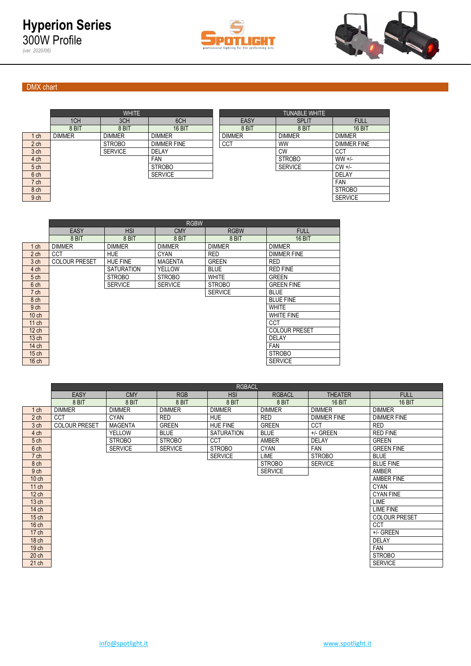



# DMX chart

*(ver. 2020/06)*

|                 |               | <b>WHITE</b>   |                    | <b>TUNABLE WHITE</b> |                |                    |  |  |
|-----------------|---------------|----------------|--------------------|----------------------|----------------|--------------------|--|--|
|                 | 1CH           | 3CH            | 6CH                | EASY                 | <b>SPLIT</b>   | <b>FULL</b>        |  |  |
|                 | 8 BIT         | 8 BIT          | 16 BIT             | 8 BIT                | 8 BIT          | 16 BIT             |  |  |
| ch              | <b>DIMMER</b> | <b>DIMMER</b>  | <b>DIMMER</b>      | <b>DIMMER</b>        | <b>DIMMER</b>  | <b>DIMMER</b>      |  |  |
| 2 <sub>ch</sub> |               | <b>STROBO</b>  | <b>DIMMER FINE</b> | <b>CCT</b>           | <b>WW</b>      | <b>DIMMER FINE</b> |  |  |
| 3 <sub>ch</sub> |               | <b>SERVICE</b> | DELAY              |                      | <b>CW</b>      | CCT                |  |  |
| 4 ch            |               |                | <b>FAN</b>         |                      | <b>STROBO</b>  | $WW +/-$           |  |  |
| 5 ch            |               |                | <b>STROBO</b>      |                      | <b>SERVICE</b> | $CW +/-$           |  |  |
| 6 ch            |               |                | <b>SERVICE</b>     |                      |                | <b>DELAY</b>       |  |  |
| 7 ch            |               |                |                    |                      |                | <b>FAN</b>         |  |  |
| 8 ch            |               |                |                    |                      |                | <b>STROBO</b>      |  |  |
|                 |               |                |                    |                      |                |                    |  |  |

|                 |               | <b>WHITE</b>   |                    | <b>TUNABLE WHITE</b> |                |                    |  |  |  |
|-----------------|---------------|----------------|--------------------|----------------------|----------------|--------------------|--|--|--|
|                 | 1CH           | 3CH            | 6CH                | EASY                 | <b>SPLIT</b>   | <b>FULL</b>        |  |  |  |
|                 | 8 BIT         | 8 BIT          | <b>16 BIT</b>      | 8 BIT                | 8 BIT          | 16 BIT             |  |  |  |
| 1 <sub>ch</sub> | <b>DIMMER</b> | <b>DIMMER</b>  | <b>DIMMER</b>      | <b>DIMMER</b>        | <b>DIMMER</b>  | <b>DIMMER</b>      |  |  |  |
| 2 <sub>ch</sub> |               | <b>STROBO</b>  | <b>DIMMER FINE</b> | <b>CCT</b>           | <b>WW</b>      | <b>DIMMER FINE</b> |  |  |  |
| 3 <sub>ch</sub> |               | <b>SERVICE</b> | <b>DELAY</b>       |                      | <b>CW</b>      | <b>CCT</b>         |  |  |  |
| 4 ch            |               |                | <b>FAN</b>         |                      | <b>STROBO</b>  | $WW +/-$           |  |  |  |
| 5 <sub>ch</sub> |               |                | <b>STROBO</b>      |                      | <b>SERVICE</b> | $CW +/-$           |  |  |  |
| 6 <sub>ch</sub> |               |                | <b>SERVICE</b>     |                      |                | <b>DELAY</b>       |  |  |  |
| 7 <sub>ch</sub> |               |                |                    |                      |                | <b>FAN</b>         |  |  |  |
| 8 ch            |               |                |                    |                      |                | <b>STROBO</b>      |  |  |  |
| 9 ch            |               |                |                    |                      |                | <b>SERVICE</b>     |  |  |  |
|                 |               |                |                    |                      |                |                    |  |  |  |

|                  | <b>EASY</b>          | <b>HSI</b>        | <b>CMY</b>     | <b>RGBW</b>    | <b>FULL</b>          |
|------------------|----------------------|-------------------|----------------|----------------|----------------------|
|                  | 8 BIT                | 8 BIT             | 8 BIT          | 8 BIT          | 16 BIT               |
| $1$ ch           | <b>DIMMER</b>        | <b>DIMMER</b>     | <b>DIMMER</b>  | <b>DIMMER</b>  | <b>DIMMER</b>        |
| 2 <sub>ch</sub>  | <b>CCT</b>           | <b>HUE</b>        | <b>CYAN</b>    | <b>RED</b>     | <b>DIMMER FINE</b>   |
| 3 <sub>ch</sub>  | <b>COLOUR PRESET</b> | <b>HUE FINE</b>   | <b>MAGENTA</b> | <b>GREEN</b>   | <b>RED</b>           |
| 4 ch             |                      | <b>SATURATION</b> | YELLOW         | <b>BLUE</b>    | <b>RED FINE</b>      |
| 5 <sub>ch</sub>  |                      | <b>STROBO</b>     | <b>STROBO</b>  | <b>WHITE</b>   | <b>GREEN</b>         |
| 6 ch             |                      | <b>SERVICE</b>    | <b>SERVICE</b> | <b>STROBO</b>  | <b>GREEN FINE</b>    |
| 7 ch             |                      |                   |                | <b>SERVICE</b> | <b>BLUE</b>          |
| 8 ch             |                      |                   |                |                | <b>BLUE FINE</b>     |
| 9 ch             |                      |                   |                |                | <b>WHITE</b>         |
| $10$ ch          |                      |                   |                |                | <b>WHITE FINE</b>    |
| $11$ ch          |                      |                   |                |                | CCT                  |
| $12$ ch          |                      |                   |                |                | <b>COLOUR PRESET</b> |
| $13$ ch          |                      |                   |                |                | <b>DELAY</b>         |
| 14 ch            |                      |                   |                |                | <b>FAN</b>           |
| $15$ ch          |                      |                   |                |                | <b>STROBO</b>        |
| 16 <sub>ch</sub> |                      |                   |                |                | <b>SERVICE</b>       |

|                  | <b>EASY</b>          | <b>CMY</b>     | <b>RGB</b>     | <b>HSI</b>        | <b>RGBACL</b>  | <b>THEATER</b>     | <b>FULL</b>          |
|------------------|----------------------|----------------|----------------|-------------------|----------------|--------------------|----------------------|
|                  | 8 BIT                | 8 BIT          | 8 BIT          | 8 BIT             | 8 BIT          | <b>16 BIT</b>      | <b>16 BIT</b>        |
| $1$ ch           | <b>DIMMER</b>        | <b>DIMMER</b>  | <b>DIMMER</b>  | <b>DIMMER</b>     | <b>DIMMER</b>  | <b>DIMMER</b>      | <b>DIMMER</b>        |
| 2 <sub>ch</sub>  | <b>CCT</b>           | <b>CYAN</b>    | <b>RED</b>     | <b>HUE</b>        | <b>RED</b>     | <b>DIMMER FINE</b> | <b>DIMMER FINE</b>   |
| 3 ch             | <b>COLOUR PRESET</b> | <b>MAGENTA</b> | <b>GREEN</b>   | <b>HUE FINE</b>   | <b>GREEN</b>   | <b>CCT</b>         | <b>RED</b>           |
| 4 ch             |                      | <b>YELLOW</b>  | <b>BLUE</b>    | <b>SATURATION</b> | <b>BLUE</b>    | +/- GREEN          | <b>RED FINE</b>      |
| 5 <sub>ch</sub>  |                      | <b>STROBO</b>  | <b>STROBO</b>  | CCT               | <b>AMBER</b>   | <b>DELAY</b>       | <b>GREEN</b>         |
| 6 ch             |                      | <b>SERVICE</b> | <b>SERVICE</b> | <b>STROBO</b>     | <b>CYAN</b>    | <b>FAN</b>         | <b>GREEN FINE</b>    |
| 7 ch             |                      |                |                | <b>SERVICE</b>    | LIME           | <b>STROBO</b>      | <b>BLUE</b>          |
| 8 ch             |                      |                |                |                   | <b>STROBO</b>  | <b>SERVICE</b>     | <b>BLUE FINE</b>     |
| 9 ch             |                      |                |                |                   | <b>SERVICE</b> |                    | AMBER                |
| $10$ ch          |                      |                |                |                   |                |                    | AMBER FINE           |
| 11 ch            |                      |                |                |                   |                |                    | <b>CYAN</b>          |
| $12$ ch          |                      |                |                |                   |                |                    | <b>CYAN FINE</b>     |
| 13 <sub>ch</sub> |                      |                |                |                   |                |                    | <b>LIME</b>          |
| 14 ch            |                      |                |                |                   |                |                    | <b>LIME FINE</b>     |
| $15$ ch          |                      |                |                |                   |                |                    | <b>COLOUR PRESET</b> |
| 16 <sub>ch</sub> |                      |                |                |                   |                |                    | <b>CCT</b>           |
| 17 ch            |                      |                |                |                   |                |                    | +/- GREEN            |
| 18 <sub>ch</sub> |                      |                |                |                   |                |                    | <b>DELAY</b>         |
| 19 ch            |                      |                |                |                   |                |                    | FAN                  |
| 20 <sub>ch</sub> |                      |                |                |                   |                |                    | <b>STROBO</b>        |
| 21 ch            |                      |                |                |                   |                |                    | <b>SERVICE</b>       |